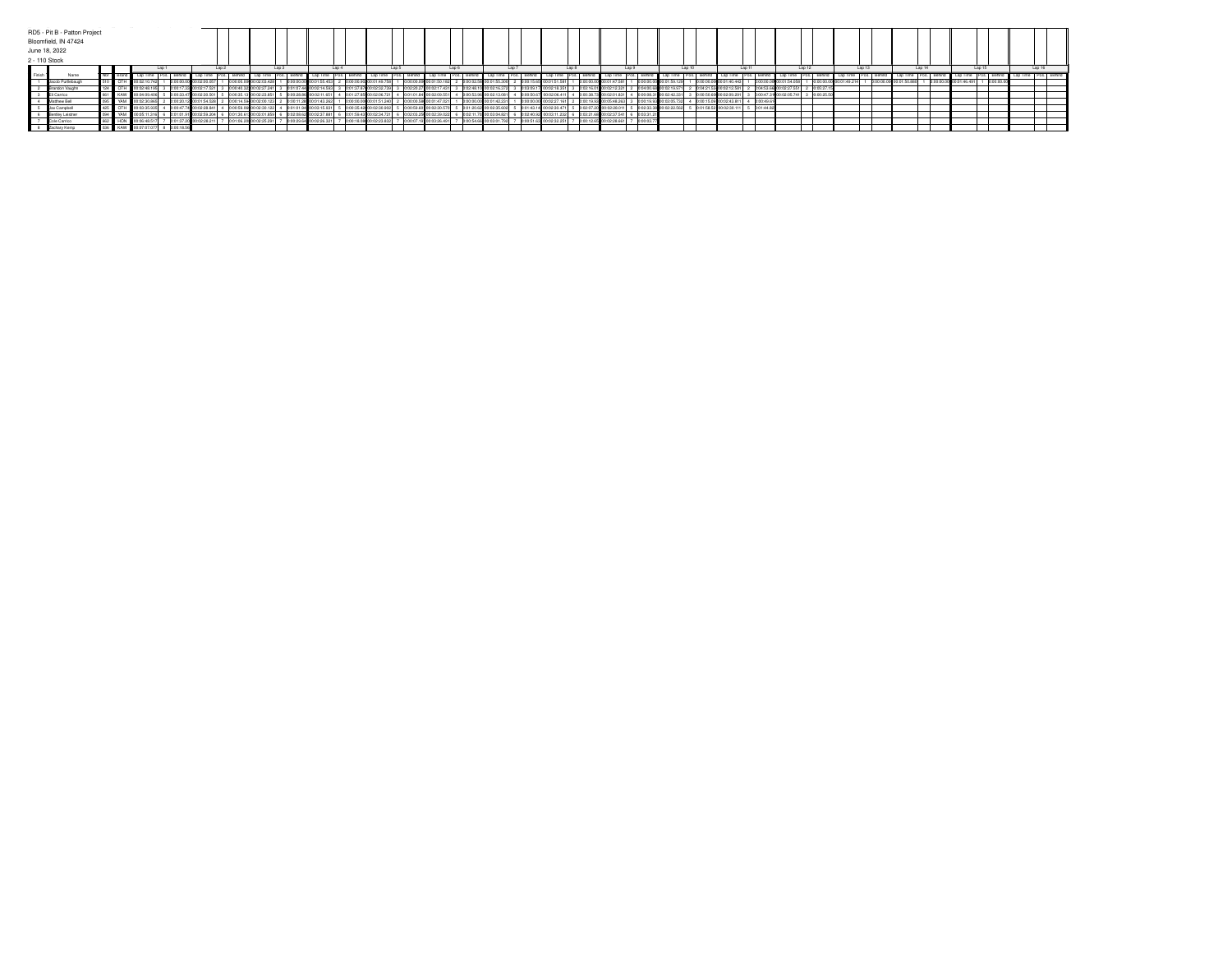|                 | RD5 - Pit B - Patton Project |  |  |                      |             |                           |  |              |                               |                                                     |                         |  |                                           |                          |                                                       |                                        |                         |             |                           |                  |                     |                |                                     |  |                                       |             |                           |                          |                            |        |                                                     |             |                      |                      |
|-----------------|------------------------------|--|--|----------------------|-------------|---------------------------|--|--------------|-------------------------------|-----------------------------------------------------|-------------------------|--|-------------------------------------------|--------------------------|-------------------------------------------------------|----------------------------------------|-------------------------|-------------|---------------------------|------------------|---------------------|----------------|-------------------------------------|--|---------------------------------------|-------------|---------------------------|--------------------------|----------------------------|--------|-----------------------------------------------------|-------------|----------------------|----------------------|
|                 | Bloomfield, IN 47424         |  |  |                      |             |                           |  |              |                               |                                                     |                         |  |                                           |                          |                                                       |                                        |                         |             |                           |                  |                     |                |                                     |  |                                       |             |                           |                          |                            |        |                                                     |             |                      |                      |
|                 | June 18, 2022                |  |  |                      |             |                           |  |              |                               |                                                     |                         |  |                                           |                          |                                                       |                                        |                         |             |                           |                  |                     |                |                                     |  |                                       |             |                           |                          |                            |        |                                                     |             |                      |                      |
|                 | 2 - 110 Stock                |  |  |                      |             |                           |  |              |                               |                                                     |                         |  |                                           |                          |                                                       |                                        |                         |             |                           |                  |                     |                |                                     |  |                                       |             |                           |                          |                            |        |                                                     |             |                      |                      |
|                 | Lap 1                        |  |  | $1$ an $2$           |             | Lap3                      |  |              | Lap <sub>4</sub>              |                                                     | Lap 5                   |  | Lap <sub>6</sub>                          | Lap 7                    |                                                       |                                        | Lap8                    |             | Lap 9                     |                  | Lap 10              |                | Lap 11                              |  | Lap 12                                |             | Lap 13                    |                          | Lap 14                     | Lap 15 | Lap 16                                              |             |                      |                      |
| <b>E</b> Finish | Name                         |  |  |                      | Pos. Behind | <b>A</b> Lap Time         |  | Behind       | <b>4</b> Lap Time   Pos. I b. |                                                     |                         |  | Lap Time Pos. Behind Lap Time Pos. Behind |                          |                                                       | Lap Time Pos. Behind                   | Lap Time                | Pos. Behind | Lap Time Pos. Behind      |                  | LapTime   Pos. I L. |                | Lap Time   Pos.   Behind   Lap Time |  |                                       | Pos. Behind |                           | Lap Time   Pos.   Behind | and <b>I</b> Lap Time 1 or |        | Pos. Behind Lap Time                                | Pos. Behind | Lap Time Pos. Behind | Lap Time Pos. Behind |
|                 | Jacob Purtlebaugh            |  |  |                      |             | 0:00:00.00 00:02:00.05    |  |              | 57 1 0:00:00.00 00:02:03.428  |                                                     | 0:00:00.00 00:01:55.453 |  |                                           |                          | 2 0:00:00.90 00:01:49.758 1 0:00:00.00 00:01:50.182 2 |                                        | 0:00:02.58 00:01:55.300 |             | 0:00:15.65 00:01:51.581   | n:nn:nn:nn       | 00:01:47.581        |                | 0:00:00.00000:01:59.129             |  | 0.00:00.00 00:01:40.443 1             |             | 1 0:00:00.00 00:01:54.058 |                          | 0:00:00.00 00:01:49.214    |        | 1 0:00:00.00 00:01:50.880 1 0:00:00.00 00:01:46.491 |             | in on on or          |                      |
|                 | Brandon Vaughn               |  |  |                      |             | 0:02:17.5                 |  | 0:00:40.3260 |                               |                                                     | 0:01:07.44 00:02:14.593 |  | 3 0:01:37.87 00:02:32.739                 | $h$ $n$ 2-20.27          |                                                       |                                        |                         |             |                           |                  |                     | 0:04:00.68000  |                                     |  | 02:12.581                             | non-same    |                           |                          |                            |        |                                                     |             |                      |                      |
|                 | El Carrico                   |  |  |                      |             |                           |  |              | 5 0:00:35.13 00:02:23.851 5   |                                                     | 0.00:28.86 00:02:11.651 |  | $\frac{1}{27.85}$ 00:02:06.721 4 0:01:01  |                          |                                                       | 00:02:09.551 4 0:00:53.96 00:02:13.081 |                         |             |                           | 0:00:38.73       | 00:02:01.831        |                | 0:00:08.31 00:02:42.331             |  |                                       |             | 0.00:47.31 00:02:05.741   | 0:00:25                  |                            |        |                                                     |             |                      |                      |
|                 | Matthew Bell                 |  |  | YAM 00:02:30.865     |             | 2 0:00:20.12 00:01:54.528 |  |              |                               | 2 0:00:14.59 00:02:00.123 2 0:00:11.28 00:01:43.262 |                         |  |                                           | 0:01:51.240 2 0:00:00.58 | 0.01:47.021                                           |                                        | 0:00:00.00 00:01:42.231 |             |                           |                  |                     | 0:00:19.93 00: |                                     |  | 0:02:43.811 4 0:00:49.6               |             |                           |                          |                            |        |                                                     |             |                      |                      |
|                 | Jax Campbell                 |  |  |                      |             | 4 0:00:47.74 00:02:28.841 |  |              |                               | 4 0:00:59.06 00:02:30.122 4 0:01:01.94 00:03:15.931 |                         |  |                                           |                          | 5 0:00:35.42 00:02:30.902 5 0:00:59.60 00:02:30.570   |                                        | 0:01:20.62 00:02:35.602 |             | 5 0:01:43.14 00:02:30.471 | 1 5 0:02:07.20 1 | 00:02:28.011 5      |                | 0:02:33.38 00:02:22.562             |  | 5 0:01:58.52 00:02:30.111 5 0:01:44.8 |             |                           |                          |                            |        |                                                     |             |                      |                      |
|                 | Bertley Leistner             |  |  | YAM 00:05:11.        |             |                           |  |              |                               | 6 0:02:08.62 00:02:37.881                           |                         |  | 6 0:01:59.43 00:02:34.721                 | -H 6 0:02:03 25 nm       | 00:02:39.022 6                                        | 0:02:11                                | .70 00:03:04.821        |             |                           | 6 0:03:21.68     | 002:37.541          |                |                                     |  |                                       |             |                           |                          |                            |        |                                                     |             |                      |                      |
|                 | Cole Carrico                 |  |  | HON 00:06:48.517     |             | 7 0:01:37.20 00:02:28.21  |  |              | 7 0:01:06.20 00:02:25.291 7   |                                                     | 0.00:29.64 00:02:26.321 |  | 7 0:00:18.08 00:02:23.832 7 0:00:07.19 0  |                          | 00:03:26.491 7                                        |                                        | 0:00:54.66 00:03:01.792 |             | 00:51.63 00:02:32.251     | 0:00:12.65       | 00:02:28.661        | 0:00:03.7      |                                     |  |                                       |             |                           |                          |                            |        |                                                     |             |                      |                      |
|                 | Zachary Kemp                 |  |  | 036 KAW 00:07:07.077 | 8 0001856   |                           |  |              |                               |                                                     |                         |  |                                           |                          |                                                       |                                        |                         |             |                           |                  |                     |                |                                     |  |                                       |             |                           |                          |                            |        |                                                     |             |                      |                      |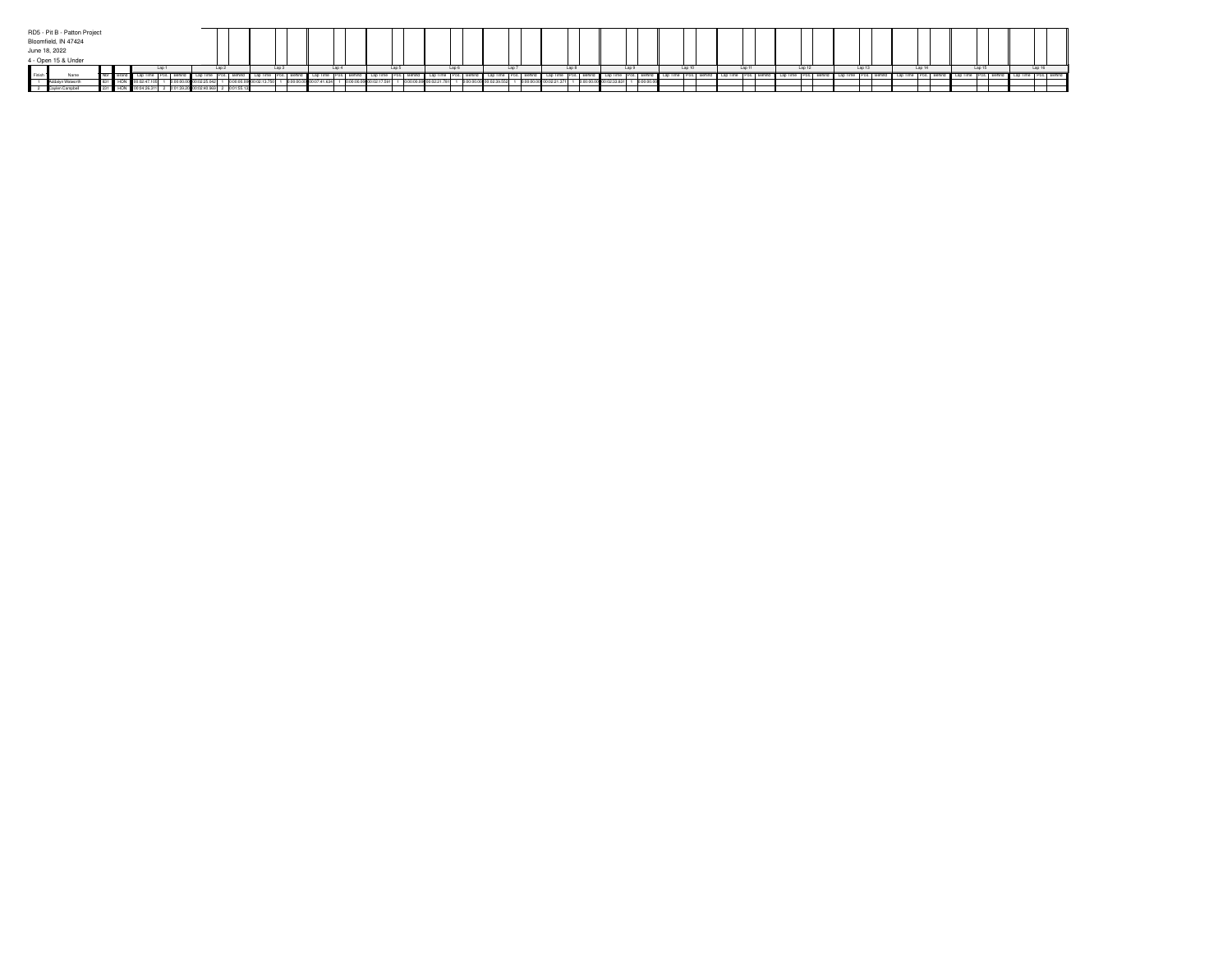| RD5 - Pit B - Patton Project |  |  |  |  |      |                                |       |  |       |                       |       |                     |  |                            |  |                         |  |      |                |       |              |            |        |        |  |        |        |  |         |  |  |  |
|------------------------------|--|--|--|--|------|--------------------------------|-------|--|-------|-----------------------|-------|---------------------|--|----------------------------|--|-------------------------|--|------|----------------|-------|--------------|------------|--------|--------|--|--------|--------|--|---------|--|--|--|
| Bloomfield, IN 47424         |  |  |  |  |      |                                |       |  |       |                       |       |                     |  |                            |  |                         |  |      |                |       |              |            |        |        |  |        |        |  |         |  |  |  |
| June 18, 2022                |  |  |  |  |      |                                |       |  |       |                       |       |                     |  |                            |  |                         |  |      |                |       |              |            |        |        |  |        |        |  |         |  |  |  |
| 4 - Open 15 & Under          |  |  |  |  |      |                                | _____ |  |       |                       |       |                     |  |                            |  |                         |  |      |                |       |              |            |        |        |  |        |        |  |         |  |  |  |
|                              |  |  |  |  | Lap3 |                                | Lap 4 |  | Lap 5 |                       | Lap 6 |                     |  | Lap 7                      |  | Lap8                    |  | Lap9 |                | Lap10 | Lap 11       |            | Lap 12 | Lap 13 |  | Lap 14 | Lap 15 |  | 1 an 16 |  |  |  |
| <b>B</b> Finish              |  |  |  |  |      |                                |       |  |       |                       |       |                     |  |                            |  |                         |  |      |                |       |              |            |        |        |  |        |        |  |         |  |  |  |
|                              |  |  |  |  |      |                                |       |  |       | 00:00.00000:07:41.634 |       | 100.00 00:02:17.591 |  | 1 0:00:00.00 00:02:21.7811 |  | 0:00:00.00 00:02:39.552 |  |      | 00 00:02:21.37 |       | 00:02:33.831 | 0:00:00.00 |        |        |  |        |        |  |         |  |  |  |
|                              |  |  |  |  |      | 9.20 00:02:40.969 2 0:01:55.13 |       |  |       |                       |       |                     |  |                            |  |                         |  |      |                |       |              |            |        |        |  |        |        |  |         |  |  |  |